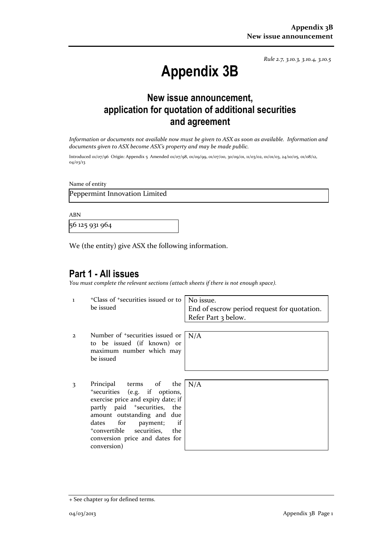*Rule 2.7, 3.10.3, 3.10.4, 3.10.5*

# **Appendix 3B**

# **New issue announcement, application for quotation of additional securities and agreement**

*Information or documents not available now must be given to ASX as soon as available. Information and documents given to ASX become ASX's property and may be made public.*

Introduced 01/07/96 Origin: Appendix 5 Amended 01/07/98, 01/09/99, 01/07/00, 30/09/01, 11/03/02, 01/01/03, 24/10/05, 01/08/12, 04/03/13

Name of entity

Peppermint Innovation Limited

ABN

56 125 931 964

We (the entity) give ASX the following information.

# **Part 1 - All issues**

*You must complete the relevant sections (attach sheets if there is not enough space).*

N/A

1 <sup>+</sup>Class of +securities issued or to be issued

No issue. End of escrow period request for quotation. Refer Part 3 below.

- 2 Number of +securities issued or to be issued (if known) or maximum number which may be issued
- 3 Principal terms of the <sup>+</sup>securities (e.g. if options, exercise price and expiry date; if partly paid <sup>+</sup>securities, the amount outstanding and due dates for payment; if <sup>+</sup>convertible securities, the conversion price and dates for conversion)

| $\overline{\phantom{a}}$ | N/A |
|--------------------------|-----|
| ,<br>f                   |     |
| $\overline{\phantom{a}}$ |     |
| e                        |     |
| f                        |     |
| $\overline{\phantom{a}}$ |     |
| r                        |     |
|                          |     |

<sup>+</sup> See chapter 19 for defined terms.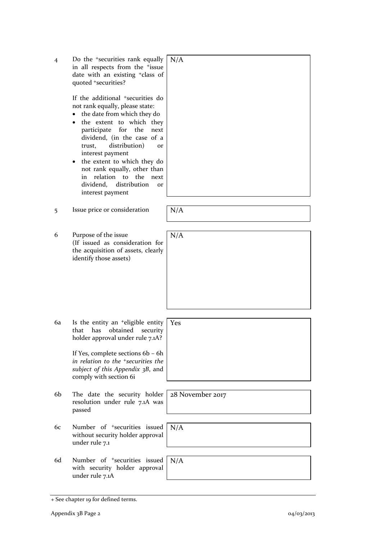| 4  | Do the <sup>+</sup> securities rank equally<br>in all respects from the <sup>+</sup> issue<br>date with an existing <sup>+</sup> class of<br>quoted +securities?                                                                                                                                                                                                                                                                | N/A              |
|----|---------------------------------------------------------------------------------------------------------------------------------------------------------------------------------------------------------------------------------------------------------------------------------------------------------------------------------------------------------------------------------------------------------------------------------|------------------|
|    | If the additional <sup>+</sup> securities do<br>not rank equally, please state:<br>the date from which they do<br>٠<br>the extent to which they<br>for the<br>participate<br>next<br>dividend, (in the case of a<br>distribution)<br>trust,<br>or<br>interest payment<br>the extent to which they do<br>not rank equally, other than<br>the<br>relation to<br>in<br>next<br>dividend,<br>distribution<br>or<br>interest payment |                  |
| 5  | Issue price or consideration                                                                                                                                                                                                                                                                                                                                                                                                    | N/A              |
| 6  | Purpose of the issue<br>(If issued as consideration for<br>the acquisition of assets, clearly<br>identify those assets)                                                                                                                                                                                                                                                                                                         | N/A              |
| 6a | Is the entity an <sup>+</sup> eligible entity<br>that<br>has<br>obtained<br>security<br>holder approval under rule 7.1A?<br>If Yes, complete sections 6b - 6h<br>in relation to the <sup>+</sup> securities the<br>subject of this Appendix 3B, and<br>comply with section 6i                                                                                                                                                   | Yes              |
| 6b | The date the security holder<br>resolution under rule 7.1A was<br>passed                                                                                                                                                                                                                                                                                                                                                        | 28 November 2017 |
| 6с | Number of <sup>+</sup> securities issued<br>without security holder approval<br>under rule 7.1                                                                                                                                                                                                                                                                                                                                  | N/A              |
| 6d | Number of <sup>+</sup> securities issued<br>with security holder approval<br>under rule 7.1A                                                                                                                                                                                                                                                                                                                                    | N/A              |

<sup>+</sup> See chapter 19 for defined terms.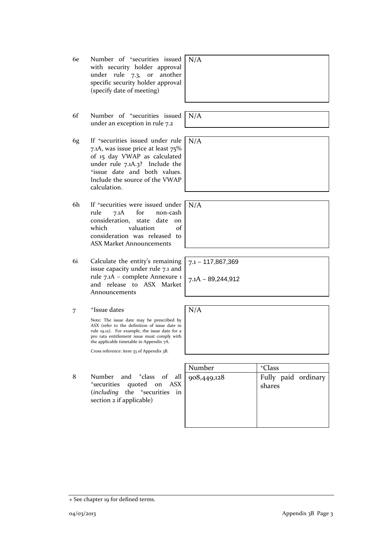- 6e Number of +securities issued with security holder approval under rule 7.3, or another specific security holder approval (specify date of meeting)
- 6f Number of +securities issued under an exception in rule 7.2
- 6g If +securities issued under rule 7.1A, was issue price at least 75% of 15 day VWAP as calculated under rule 7.1A.3? Include the <sup>+</sup>issue date and both values. Include the source of the VWAP calculation.
- 6h If +securities were issued under rule 7.1A for non-cash consideration, state date on which valuation of consideration was released to ASX Market Announcements
- 6i Calculate the entity's remaining issue capacity under rule 7.1 and rule 7.1A – complete Annexure 1 and release to ASX Market Announcements
- 7 <sup>+</sup>Issue dates

Note: The issue date may be prescribed by ASX (refer to the definition of issue date in rule 19.12). For example, the issue date for a pro rata entitlement issue must comply with the applicable timetable in Appendix 7A.

Cross reference: item 33 of Appendix 3B.

8 Number and <sup>+</sup>class of all <sup>+</sup>securities quoted on ASX (*including* the <sup>+</sup>securities in section 2 if applicable)

| Number      | <sup>+</sup> Class            |
|-------------|-------------------------------|
| 908,449,128 | Fully paid ordinary<br>shares |

N/A

N/A

7.1 – 117,867,369

7.1A – 89,244,912

N/A

N/A

N/A

04/03/2013 Appendix 3B Page 3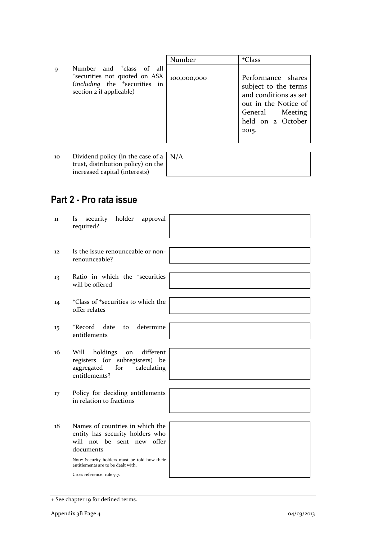|   |                                                                                                                                                            | Number      | <sup>+</sup> Class                                                                                                                           |
|---|------------------------------------------------------------------------------------------------------------------------------------------------------------|-------------|----------------------------------------------------------------------------------------------------------------------------------------------|
| Q | Number and <sup>+</sup> class of all<br><sup>+</sup> securities not quoted on ASX<br>(including the <sup>+</sup> securities in<br>section 2 if applicable) | 100,000,000 | Performance shares<br>subject to the terms<br>and conditions as set<br>out in the Notice of<br>General Meeting<br>held on 2 October<br>2015. |

10 Dividend policy (in the case of a trust, distribution policy) on the increased capital (interests)

# N/A

# **Part 2 - Pro rata issue**

| 11 | holder<br>approval<br>security<br>Is<br>required?                                                                                                                                                                                  |
|----|------------------------------------------------------------------------------------------------------------------------------------------------------------------------------------------------------------------------------------|
| 12 | Is the issue renounceable or non-<br>renounceable?                                                                                                                                                                                 |
| 13 | Ratio in which the <sup>+</sup> securities<br>will be offered                                                                                                                                                                      |
| 14 | <sup>+</sup> Class of <sup>+</sup> securities to which the<br>offer relates                                                                                                                                                        |
| 15 | determine<br>+Record date<br>to<br>entitlements                                                                                                                                                                                    |
| 16 | different<br>holdings<br>Will<br>on<br>registers (or subregisters) be<br>aggregated<br>for<br>calculating<br>entitlements?                                                                                                         |
| 17 | Policy for deciding entitlements<br>in relation to fractions                                                                                                                                                                       |
| 18 | Names of countries in which the<br>entity has security holders who<br>will not be sent new offer<br>documents<br>Note: Security holders must be told how their<br>entitlements are to be dealt with.<br>Cross reference: rule 7.7. |

<sup>+</sup> See chapter 19 for defined terms.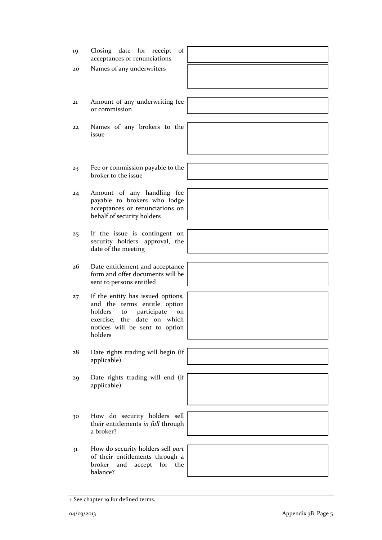- 21 Amount of any underwriting fee or commission 22 Names of any brokers to the issue 23 Fee or commission payable to the broker to the issue 24 Amount of any handling fee payable to brokers who lodge acceptances or renunciations on behalf of security holders security holders' approval, the date of the meeting form and offer documents will be sent to persons entitled and the terms entitle option holders to participate on exercise, the date on which notices will be sent to option holders applicable) applicable) 30 How do security holders sell their entitlements *in full* through a broker? 31 How do security holders sell *part* of their entitlements through a broker and accept for the balance?
- -

25 If the issue is contingent on

19 Closing date for receipt of acceptances or renunciations

20 Names of any underwriters

- 26 Date entitlement and acceptance
- 27 If the entity has issued options,
- 28 Date rights trading will begin (if
- 29 Date rights trading will end (if
- 
- 

+ See chapter 19 for defined terms.



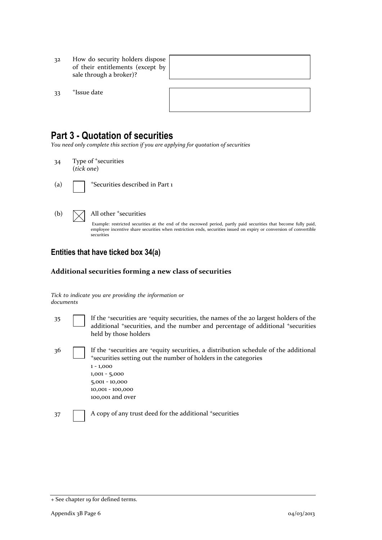- 32 How do security holders dispose of their entitlements (except by sale through a broker)?
- 33 <sup>+</sup>Issue date

# **Part 3 - Quotation of securities**

*You need only complete this section if you are applying for quotation of securities*

- 34 Type of <sup>+</sup>securities (*tick one*)
- 

(a)  $\Box$  +Securities described in Part 1

#### (b)  $\bigvee$  All other <sup>+</sup>securities

Example: restricted securities at the end of the escrowed period, partly paid securities that become fully paid, employee incentive share securities when restriction ends, securities issued on expiry or conversion of convertible securities

### **Entities that have ticked box 34(a)**

#### **Additional securities forming a new class of securities**

*Tick to indicate you are providing the information or documents*

- 35 If the <sup>+</sup>securities are <sup>+</sup>equity securities, the names of the 20 largest holders of the additional <sup>+</sup>securities, and the number and percentage of additional <sup>+</sup>securities held by those holders 36 If the <sup>+</sup>securities are <sup>+</sup>equity securities, a distribution schedule of the additional
- <sup>+</sup>securities setting out the number of holders in the categories 1 - 1,000 1,001 - 5,000 5,001 - 10,000 10,001 - 100,000 100,001 and over
- 37 A copy of any trust deed for the additional +securities

<sup>+</sup> See chapter 19 for defined terms.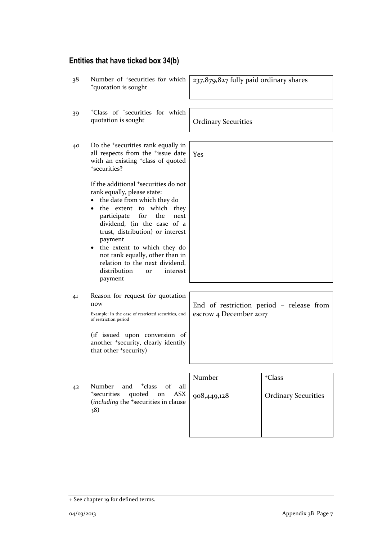## **Entities that have ticked box 34(b)**

38 Number of <sup>+</sup>securities for which <sup>+</sup>quotation is sought 237,879,827 fully paid ordinary shares 39 <sup>+</sup>Class of <sup>+</sup>securities for which quotation is sought **Ordinary Securities** 40 Do the <sup>+</sup>securities rank equally in all respects from the <sup>+</sup>issue date with an existing <sup>+</sup>class of quoted <sup>+</sup>securities? If the additional <sup>+</sup>securities do not rank equally, please state: • the date from which they do • the extent to which they participate for the next dividend, (in the case of a trust, distribution) or interest payment • the extent to which they do not rank equally, other than in relation to the next dividend, distribution or interest payment Yes 41 Reason for request for quotation now Example: In the case of restricted securities, end of restriction period (if issued upon conversion of another <sup>+</sup>security, clearly identify that other <sup>+</sup>security) End of restriction period – release from escrow 4 December 2017 Number + Class 42 Number and <sup>+</sup>class of all <sup>+</sup>securities quoted on ASX (*including* the <sup>+</sup>securities in clause 38) 908,449,128 Ordinary Securities

<sup>+</sup> See chapter 19 for defined terms.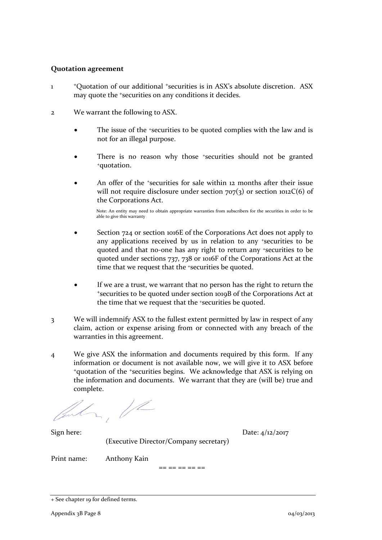#### **Quotation agreement**

- 1 <sup>+</sup>Quotation of our additional <sup>+</sup>securities is in ASX's absolute discretion. ASX may quote the <sup>+</sup>securities on any conditions it decides.
- 2 We warrant the following to ASX.
	- The issue of the +securities to be quoted complies with the law and is not for an illegal purpose.
	- There is no reason why those *\*securities* should not be granted <sup>+</sup>quotation.
	- An offer of the *\*securities* for sale within 12 months after their issue will not require disclosure under section  $707(3)$  or section  $1012C(6)$  of the Corporations Act.

Note: An entity may need to obtain appropriate warranties from subscribers for the securities in order to be able to give this warranty

- Section 724 or section 1016E of the Corporations Act does not apply to any applications received by us in relation to any +securities to be quoted and that no-one has any right to return any +securities to be quoted under sections 737, 738 or 1016F of the Corporations Act at the time that we request that the <sup>+</sup>securities be quoted.
- If we are a trust, we warrant that no person has the right to return the <sup>+</sup>securities to be quoted under section 1019B of the Corporations Act at the time that we request that the +securities be quoted.
- 3 We will indemnify ASX to the fullest extent permitted by law in respect of any claim, action or expense arising from or connected with any breach of the warranties in this agreement.
- 4 We give ASX the information and documents required by this form. If any information or document is not available now, we will give it to ASX before <sup>+</sup>quotation of the <sup>+</sup>securities begins. We acknowledge that ASX is relying on the information and documents. We warrant that they are (will be) true and complete.

 $\frac{1}{2}$ 

Sign here: Date: 4/12/2017 (Executive Director/Company secretary)

Print name: Anthony Kain

== == == == ==

<sup>+</sup> See chapter 19 for defined terms.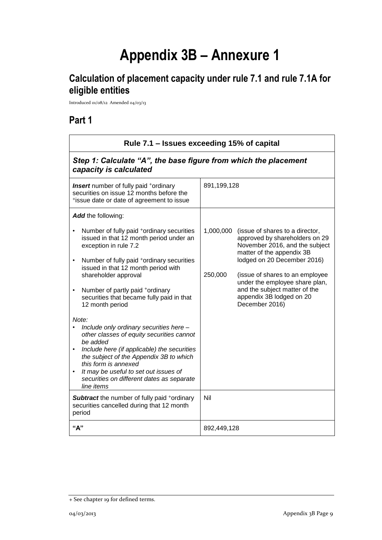# **Appendix 3B – Annexure 1**

# **Calculation of placement capacity under rule 7.1 and rule 7.1A for eligible entities**

Introduced 01/08/12 Amended 04/03/13

# **Part 1**

| Rule 7.1 - Issues exceeding 15% of capital                                                                                                                                                                                                                                                                                                                                                                                                                                                                                                                                                                                                                                                                                                |                      |                                                                                                                                                                                                                                                                                                                     |
|-------------------------------------------------------------------------------------------------------------------------------------------------------------------------------------------------------------------------------------------------------------------------------------------------------------------------------------------------------------------------------------------------------------------------------------------------------------------------------------------------------------------------------------------------------------------------------------------------------------------------------------------------------------------------------------------------------------------------------------------|----------------------|---------------------------------------------------------------------------------------------------------------------------------------------------------------------------------------------------------------------------------------------------------------------------------------------------------------------|
| Step 1: Calculate "A", the base figure from which the placement<br>capacity is calculated                                                                                                                                                                                                                                                                                                                                                                                                                                                                                                                                                                                                                                                 |                      |                                                                                                                                                                                                                                                                                                                     |
| <b>Insert</b> number of fully paid <sup>+</sup> ordinary<br>securities on issue 12 months before the<br>*issue date or date of agreement to issue                                                                                                                                                                                                                                                                                                                                                                                                                                                                                                                                                                                         | 891,199,128          |                                                                                                                                                                                                                                                                                                                     |
| Add the following:                                                                                                                                                                                                                                                                                                                                                                                                                                                                                                                                                                                                                                                                                                                        |                      |                                                                                                                                                                                                                                                                                                                     |
| Number of fully paid <sup>+</sup> ordinary securities<br>issued in that 12 month period under an<br>exception in rule 7.2<br>Number of fully paid <sup>+</sup> ordinary securities<br>$\bullet$<br>issued in that 12 month period with<br>shareholder approval<br>Number of partly paid <sup>+</sup> ordinary<br>$\bullet$<br>securities that became fully paid in that<br>12 month period<br>Note:<br>Include only ordinary securities here -<br>other classes of equity securities cannot<br>be added<br>Include here (if applicable) the securities<br>$\bullet$<br>the subject of the Appendix 3B to which<br>this form is annexed<br>It may be useful to set out issues of<br>$\bullet$<br>securities on different dates as separate | 1,000,000<br>250,000 | (issue of shares to a director,<br>approved by shareholders on 29<br>November 2016, and the subject<br>matter of the appendix 3B<br>lodged on 20 December 2016)<br>(issue of shares to an employee<br>under the employee share plan,<br>and the subject matter of the<br>appendix 3B lodged on 20<br>December 2016) |
| line items<br><b>Subtract</b> the number of fully paid +ordinary                                                                                                                                                                                                                                                                                                                                                                                                                                                                                                                                                                                                                                                                          | Nil                  |                                                                                                                                                                                                                                                                                                                     |
| securities cancelled during that 12 month<br>period                                                                                                                                                                                                                                                                                                                                                                                                                                                                                                                                                                                                                                                                                       |                      |                                                                                                                                                                                                                                                                                                                     |
| "A"                                                                                                                                                                                                                                                                                                                                                                                                                                                                                                                                                                                                                                                                                                                                       | 892,449,128          |                                                                                                                                                                                                                                                                                                                     |

<sup>+</sup> See chapter 19 for defined terms.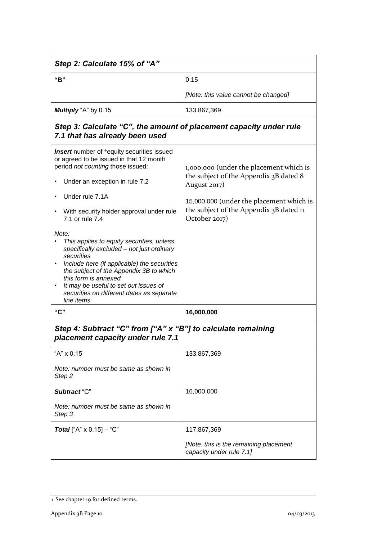| Step 2: Calculate 15% of "A"                                                                                                                                                                                                                                                                                                                                                                                                                                                                                                                                                                                                                 |                                                                                                                                                                                                           |  |  |
|----------------------------------------------------------------------------------------------------------------------------------------------------------------------------------------------------------------------------------------------------------------------------------------------------------------------------------------------------------------------------------------------------------------------------------------------------------------------------------------------------------------------------------------------------------------------------------------------------------------------------------------------|-----------------------------------------------------------------------------------------------------------------------------------------------------------------------------------------------------------|--|--|
| "B"                                                                                                                                                                                                                                                                                                                                                                                                                                                                                                                                                                                                                                          | 0.15                                                                                                                                                                                                      |  |  |
|                                                                                                                                                                                                                                                                                                                                                                                                                                                                                                                                                                                                                                              | [Note: this value cannot be changed]                                                                                                                                                                      |  |  |
| Multiply "A" by 0.15                                                                                                                                                                                                                                                                                                                                                                                                                                                                                                                                                                                                                         | 133,867,369                                                                                                                                                                                               |  |  |
| Step 3: Calculate "C", the amount of placement capacity under rule<br>7.1 that has already been used                                                                                                                                                                                                                                                                                                                                                                                                                                                                                                                                         |                                                                                                                                                                                                           |  |  |
| <b>Insert</b> number of <sup>+</sup> equity securities issued<br>or agreed to be issued in that 12 month<br>period not counting those issued:<br>Under an exception in rule 7.2<br>٠<br>Under rule 7.1A<br>With security holder approval under rule<br>$\bullet$<br>7.1 or rule 7.4<br>Note:<br>This applies to equity securities, unless<br>specifically excluded - not just ordinary<br>securities<br>Include here (if applicable) the securities<br>٠<br>the subject of the Appendix 3B to which<br>this form is annexed<br>It may be useful to set out issues of<br>$\bullet$<br>securities on different dates as separate<br>line items | 1,000,000 (under the placement which is<br>the subject of the Appendix 3B dated 8<br>August 2017)<br>15,000,000 (under the placement which is<br>the subject of the Appendix 3B dated 11<br>October 2017) |  |  |
| "C"                                                                                                                                                                                                                                                                                                                                                                                                                                                                                                                                                                                                                                          | 16,000,000                                                                                                                                                                                                |  |  |
| Step 4: Subtract "C" from ["A" x "B"] to calculate remaining<br>placement capacity under rule 7.1                                                                                                                                                                                                                                                                                                                                                                                                                                                                                                                                            |                                                                                                                                                                                                           |  |  |
| "A" x 0.15                                                                                                                                                                                                                                                                                                                                                                                                                                                                                                                                                                                                                                   | 133,867,369                                                                                                                                                                                               |  |  |
| Note: number must be same as shown in<br>Step <sub>2</sub>                                                                                                                                                                                                                                                                                                                                                                                                                                                                                                                                                                                   |                                                                                                                                                                                                           |  |  |
| Subtract "C"                                                                                                                                                                                                                                                                                                                                                                                                                                                                                                                                                                                                                                 | 16,000,000                                                                                                                                                                                                |  |  |
| Note: number must be same as shown in<br>Step 3                                                                                                                                                                                                                                                                                                                                                                                                                                                                                                                                                                                              |                                                                                                                                                                                                           |  |  |
| <b>Total</b> ["A" $\times$ 0.15] – "C"                                                                                                                                                                                                                                                                                                                                                                                                                                                                                                                                                                                                       | 117,867,369                                                                                                                                                                                               |  |  |
|                                                                                                                                                                                                                                                                                                                                                                                                                                                                                                                                                                                                                                              | [Note: this is the remaining placement<br>capacity under rule 7.1]                                                                                                                                        |  |  |

<sup>+</sup> See chapter 19 for defined terms.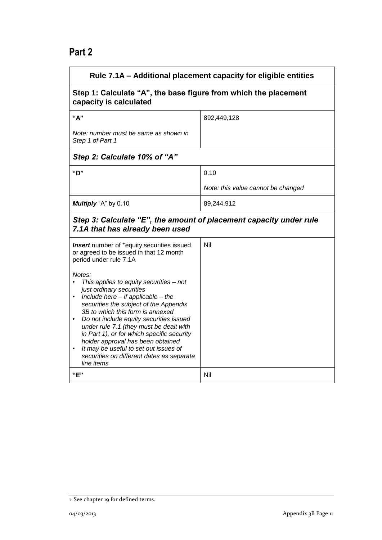# **Part 2**

| Rule 7.1A - Additional placement capacity for eligible entities                                                                                                                                                                                                                                                                                                                                                                                                                                                                                                                                                          |                                    |  |
|--------------------------------------------------------------------------------------------------------------------------------------------------------------------------------------------------------------------------------------------------------------------------------------------------------------------------------------------------------------------------------------------------------------------------------------------------------------------------------------------------------------------------------------------------------------------------------------------------------------------------|------------------------------------|--|
| Step 1: Calculate "A", the base figure from which the placement<br>capacity is calculated                                                                                                                                                                                                                                                                                                                                                                                                                                                                                                                                |                                    |  |
| "A"                                                                                                                                                                                                                                                                                                                                                                                                                                                                                                                                                                                                                      | 892,449,128                        |  |
| Note: number must be same as shown in<br>Step 1 of Part 1                                                                                                                                                                                                                                                                                                                                                                                                                                                                                                                                                                |                                    |  |
| Step 2: Calculate 10% of "A"                                                                                                                                                                                                                                                                                                                                                                                                                                                                                                                                                                                             |                                    |  |
| "ט"                                                                                                                                                                                                                                                                                                                                                                                                                                                                                                                                                                                                                      | 0.10                               |  |
|                                                                                                                                                                                                                                                                                                                                                                                                                                                                                                                                                                                                                          | Note: this value cannot be changed |  |
| Multiply "A" by 0.10                                                                                                                                                                                                                                                                                                                                                                                                                                                                                                                                                                                                     | 89,244,912                         |  |
| Step 3: Calculate "E", the amount of placement capacity under rule<br>7.1A that has already been used                                                                                                                                                                                                                                                                                                                                                                                                                                                                                                                    |                                    |  |
| <b>Insert</b> number of <sup>+</sup> equity securities issued<br>or agreed to be issued in that 12 month<br>period under rule 7.1A<br>Notes:<br>This applies to equity securities - not<br>just ordinary securities<br>Include here $-$ if applicable $-$ the<br>securities the subject of the Appendix<br>3B to which this form is annexed<br>Do not include equity securities issued<br>under rule 7.1 (they must be dealt with<br>in Part 1), or for which specific security<br>holder approval has been obtained<br>It may be useful to set out issues of<br>securities on different dates as separate<br>line items | Nil                                |  |
| "F"                                                                                                                                                                                                                                                                                                                                                                                                                                                                                                                                                                                                                      | Nil                                |  |

<sup>+</sup> See chapter 19 for defined terms.